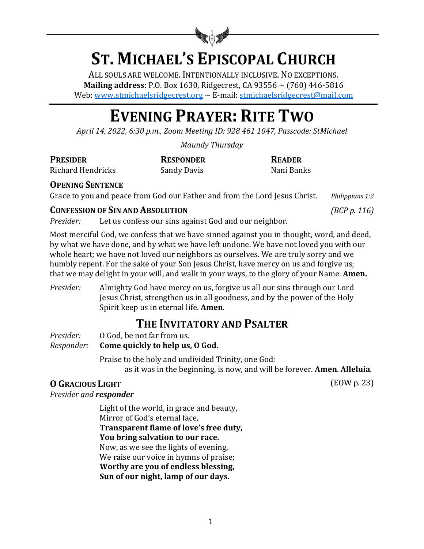

# **ST. MICHAEL'S EPISCOPAL CHURCH**

ALL SOULS ARE WELCOME. INTENTIONALLY INCLUSIVE. NO EXCEPTIONS. **Mailing address**: P.O. Box 1630, Ridgecrest, CA 93556  $\sim$  (760) 446-5816 Web: www.stmichaelsridgecrest.org  $\sim$  E-mail: stmichaelsridgecrest@mail.com

# **EVENING PRAYER: RITE TWO**

*April 14, 2022, 6:30 p.m., Zoom Meeting ID: 928 461 1047, Passcode: StMichael*

*Maundy Thursday*

| <b>PRESIDER</b>   | <b>RESPONDER</b>   | <b>READER</b> |
|-------------------|--------------------|---------------|
| Richard Hendricks | <b>Sandy Davis</b> | Nani Banks    |

#### **OPENING SENTENCE**

Grace to you and peace from God our Father and from the Lord Jesus Christ. *Philippians 1:2* 

#### **CONFESSION OF SIN AND ABSOLUTION** *(BCP p. 116)*

*Presider:* Let us confess our sins against God and our neighbor.

Most merciful God, we confess that we have sinned against you in thought, word, and deed, by what we have done, and by what we have left undone. We have not loved you with our whole heart; we have not loved our neighbors as ourselves. We are truly sorry and we humbly repent. For the sake of your Son Jesus Christ, have mercy on us and forgive us; that we may delight in your will, and walk in your ways, to the glory of your Name. **Amen.** 

*Presider:* Almighty God have mercy on us, forgive us all our sins through our Lord Jesus Christ, strengthen us in all goodness, and by the power of the Holy Spirit keep us in eternal life. **Amen**.

# **THE INVITATORY AND PSALTER**

*Presider:* 0 God, be not far from us.

#### *Responder:* **Come quickly to help us, O God.**

Praise to the holy and undivided Trinity, one God: as it was in the beginning, is now, and will be forever. **Amen. Alleluia**.

### **O GRACIOUS LIGHT** (EOW p. 23)

*Presider and responder* 

Light of the world, in grace and beauty, Mirror of God's eternal face, **Transparent flame of love's free duty, You bring salvation to our race.** Now, as we see the lights of evening, We raise our voice in hymns of praise; **Worthy are you of endless blessing, Sun of our night, lamp of our days.**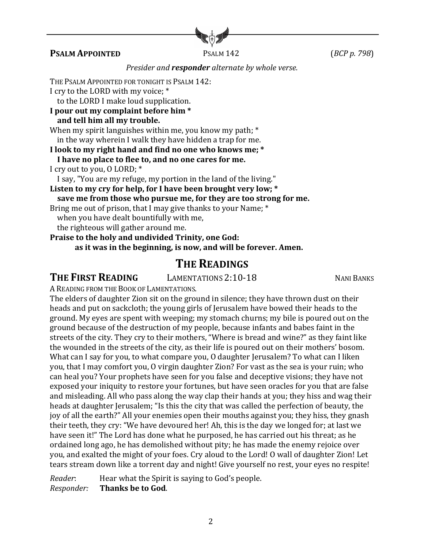

#### **PSALM APPOINTED** PSALM 142 (*BCP p. 798*)

#### *Presider and responder alternate by whole verse.*

THE PSALM APPOINTED FOR TONIGHT IS PSALM 142: I cry to the LORD with my voice; \* to the LORD I make loud supplication. I pour out my complaint before him \* and tell him all my trouble. When my spirit languishes within me, you know my path;  $*$ in the way wherein I walk they have hidden a trap for me. **I** look to my right hand and find no one who knows me; \* I have no place to flee to, and no one cares for me. I cry out to you, O LORD; \* I say, "You are my refuge, my portion in the land of the living." Listen to my cry for help, for I have been brought very low; \* **save me from those who pursue me, for they are too strong for me.** Bring me out of prison, that I may give thanks to your Name;  $*$ when you have dealt bountifully with me, the righteous will gather around me.

Praise to the holy and undivided Trinity, one God: as it was in the beginning, is now, and will be forever. Amen.

# **THE READINGS**

**THE FIRST READING** LAMENTATIONS 2:10-18 NANI BANKS

A READING FROM THE BOOK OF LAMENTATIONS.

The elders of daughter Zion sit on the ground in silence; they have thrown dust on their heads and put on sackcloth; the young girls of Jerusalem have bowed their heads to the ground. My eyes are spent with weeping; my stomach churns; my bile is poured out on the ground because of the destruction of my people, because infants and babes faint in the streets of the city. They cry to their mothers, "Where is bread and wine?" as they faint like the wounded in the streets of the city, as their life is poured out on their mothers' bosom. What can I say for you, to what compare you, O daughter Jerusalem? To what can I liken you, that I may comfort you, O virgin daughter Zion? For vast as the sea is your ruin; who can heal you? Your prophets have seen for you false and deceptive visions; they have not exposed your iniquity to restore your fortunes, but have seen oracles for you that are false and misleading. All who pass along the way clap their hands at you; they hiss and wag their heads at daughter Jerusalem; "Is this the city that was called the perfection of beauty, the joy of all the earth?" All your enemies open their mouths against you; they hiss, they gnash their teeth, they cry: "We have devoured her! Ah, this is the day we longed for; at last we have seen it!" The Lord has done what he purposed, he has carried out his threat; as he ordained long ago, he has demolished without pity; he has made the enemy rejoice over you, and exalted the might of your foes. Cry aloud to the Lord! O wall of daughter Zion! Let tears stream down like a torrent day and night! Give yourself no rest, your eyes no respite!

*Reader*: Hear what the Spirit is saying to God's people. *Responder:* Thanks be to God.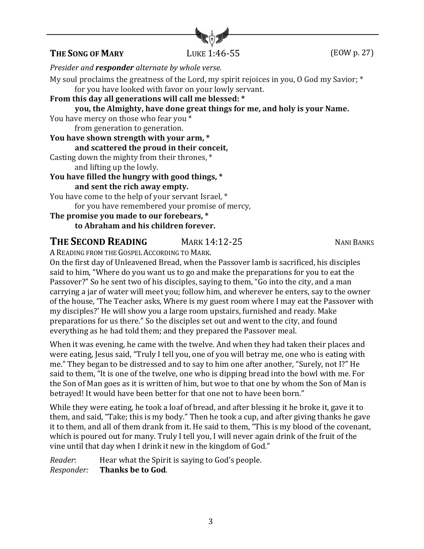*Presider and responder alternate by whole verse.* 

My soul proclaims the greatness of the Lord, my spirit rejoices in you, O God my Savior;  $*$ for vou have looked with favor on your lowly servant. **From this day all generations will call me blessed: \* you, the Almighty, have done great things for me, and holy is your Name.** You have mercy on those who fear you \* from generation to generation. You have shown strength with your arm,  $*$ **and scattered the proud in their conceit,** Casting down the mighty from their thrones,  $*$ and lifting up the lowly. You have filled the hungry with good things,  $*$ **and sent the rich away empty.** You have come to the help of your servant Israel, \* for you have remembered your promise of mercy, **The promise you made to our forebears, \* to Abraham and his children forever.**

### **THE SECOND READING** MARK 14:12-25 NANI BANKS

A READING FROM THE GOSPEL ACCORDING TO MARK.

On the first day of Unleavened Bread, when the Passover lamb is sacrificed, his disciples said to him, "Where do you want us to go and make the preparations for you to eat the Passover?" So he sent two of his disciples, saying to them, "Go into the city, and a man carrying a jar of water will meet you; follow him, and wherever he enters, say to the owner of the house, 'The Teacher asks, Where is my guest room where I may eat the Passover with my disciples?' He will show you a large room upstairs, furnished and ready. Make preparations for us there." So the disciples set out and went to the city, and found everything as he had told them; and they prepared the Passover meal.

When it was evening, he came with the twelve. And when they had taken their places and were eating, Jesus said, "Truly I tell you, one of you will betray me, one who is eating with me." They began to be distressed and to say to him one after another, "Surely, not I?" He said to them, "It is one of the twelve, one who is dipping bread into the bowl with me. For the Son of Man goes as it is written of him, but woe to that one by whom the Son of Man is betrayed! It would have been better for that one not to have been born."

While they were eating, he took a loaf of bread, and after blessing it he broke it, gave it to them, and said, "Take; this is my body." Then he took a cup, and after giving thanks he gave it to them, and all of them drank from it. He said to them, "This is my blood of the covenant, which is poured out for many. Truly I tell you, I will never again drink of the fruit of the vine until that day when I drink it new in the kingdom of God."

*Reader*: Hear what the Spirit is saying to God's people. *Responder:* **Thanks be to God**.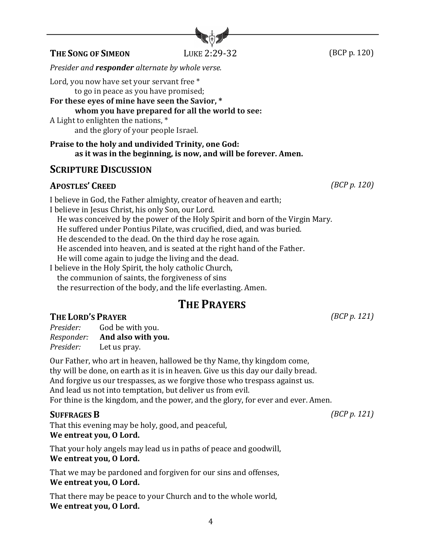*Presider and responder alternate by whole verse.* 

Lord, you now have set your servant free \*

to go in peace as you have promised;

#### For these eyes of mine have seen the Savior, \* **whom you have prepared for all the world to see:** A Light to enlighten the nations,  $*$

and the glory of your people Israel.

#### **Praise to the holy and undivided Trinity, one God:** as it was in the beginning, is now, and will be forever. Amen.

# **SCRIPTURE DISCUSSION**

### **APOSTLES' CREED** *(BCP p. 120)*

I believe in God, the Father almighty, creator of heaven and earth;

I believe in Jesus Christ, his only Son, our Lord.

He was conceived by the power of the Holy Spirit and born of the Virgin Mary.

He suffered under Pontius Pilate, was crucified, died, and was buried.

He descended to the dead. On the third day he rose again.

He ascended into heaven, and is seated at the right hand of the Father.

He will come again to judge the living and the dead.

I believe in the Holy Spirit, the holy catholic Church,

the communion of saints, the forgiveness of sins

the resurrection of the body, and the life everlasting. Amen.

# **THE PRAYERS**

# **THE LORD'S PRAYER** *(BCP p. 121)*

| Presider:  | God be with you.   |
|------------|--------------------|
| Responder: | And also with you. |
| Presider:  | Let us pray.       |

Our Father, who art in heaven, hallowed be thy Name, thy kingdom come, thy will be done, on earth as it is in heaven. Give us this day our daily bread. And forgive us our trespasses, as we forgive those who trespass against us. And lead us not into temptation, but deliver us from evil. For thine is the kingdom, and the power, and the glory, for ever and ever. Amen.

#### **SUFFRAGES B** *(BCP p. 121)*

That this evening may be holy, good, and peaceful, We entreat you, O Lord.

That your holy angels may lead us in paths of peace and goodwill, We entreat you, O Lord.

That we may be pardoned and forgiven for our sins and offenses, We entreat you, O Lord.

That there may be peace to your Church and to the whole world, We entreat you, O Lord.